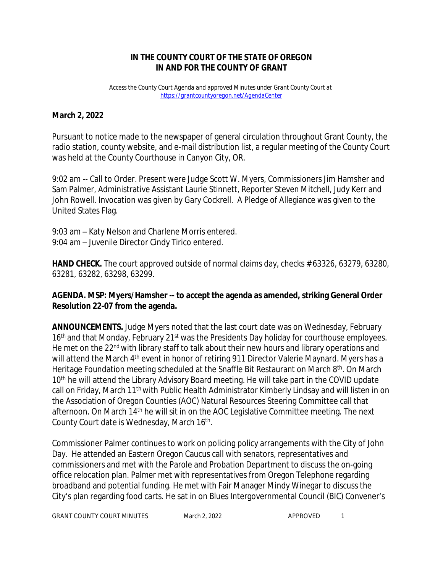## **IN THE COUNTY COURT OF THE STATE OF OREGON IN AND FOR THE COUNTY OF GRANT**

*Access the County Court Agenda and approved Minutes under Grant County Court at <https://grantcountyoregon.net/AgendaCenter>*

## **March 2, 2022**

Pursuant to notice made to the newspaper of general circulation throughout Grant County, the radio station, county website, and e-mail distribution list, a regular meeting of the County Court was held at the County Courthouse in Canyon City, OR.

9:02 am -- Call to Order. Present were Judge Scott W. Myers, Commissioners Jim Hamsher and Sam Palmer, Administrative Assistant Laurie Stinnett, Reporter Steven Mitchell, Judy Kerr and John Rowell. Invocation was given by Gary Cockrell. A Pledge of Allegiance was given to the United States Flag.

9:03 am – Katy Nelson and Charlene Morris entered. 9:04 am – Juvenile Director Cindy Tirico entered.

**HAND CHECK.** The court approved outside of normal claims day, checks # 63326, 63279, 63280, 63281, 63282, 63298, 63299.

### **AGENDA. MSP: Myers/Hamsher -- to accept the agenda as amended, striking General Order Resolution 22-07 from the agenda.**

**ANNOUNCEMENTS.** Judge Myers noted that the last court date was on Wednesday, February 16<sup>th</sup> and that Monday, February 21<sup>st</sup> was the Presidents Day holiday for courthouse employees. He met on the 22<sup>nd</sup> with library staff to talk about their new hours and library operations and will attend the March 4<sup>th</sup> event in honor of retiring 911 Director Valerie Maynard. Myers has a Heritage Foundation meeting scheduled at the Snaffle Bit Restaurant on March 8<sup>th</sup>. On March 10<sup>th</sup> he will attend the Library Advisory Board meeting. He will take part in the COVID update call on Friday, March 11<sup>th</sup> with Public Health Administrator Kimberly Lindsay and will listen in on the Association of Oregon Counties (AOC) Natural Resources Steering Committee call that afternoon. On March 14<sup>th</sup> he will sit in on the AOC Legislative Committee meeting. The next County Court date is Wednesday, March 16<sup>th</sup>.

Commissioner Palmer continues to work on policing policy arrangements with the City of John Day. He attended an Eastern Oregon Caucus call with senators, representatives and commissioners and met with the Parole and Probation Department to discuss the on-going office relocation plan. Palmer met with representatives from Oregon Telephone regarding broadband and potential funding. He met with Fair Manager Mindy Winegar to discuss the City's plan regarding food carts. He sat in on Blues Intergovernmental Council (BIC) Convener's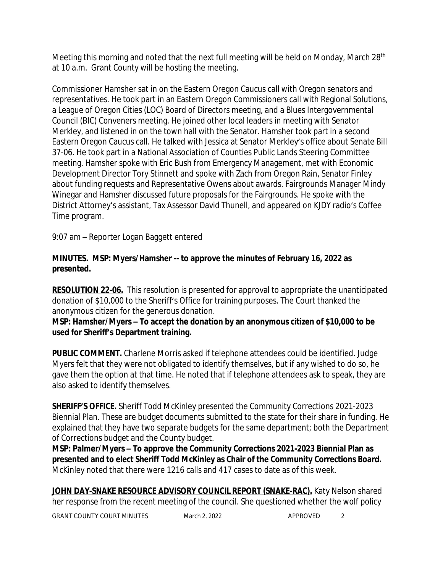Meeting this morning and noted that the next full meeting will be held on Monday, March 28<sup>th</sup> at 10 a.m. Grant County will be hosting the meeting.

Commissioner Hamsher sat in on the Eastern Oregon Caucus call with Oregon senators and representatives. He took part in an Eastern Oregon Commissioners call with Regional Solutions, a League of Oregon Cities (LOC) Board of Directors meeting, and a Blues Intergovernmental Council (BIC) Conveners meeting. He joined other local leaders in meeting with Senator Merkley, and listened in on the town hall with the Senator. Hamsher took part in a second Eastern Oregon Caucus call. He talked with Jessica at Senator Merkley's office about Senate Bill 37-06. He took part in a National Association of Counties Public Lands Steering Committee meeting. Hamsher spoke with Eric Bush from Emergency Management, met with Economic Development Director Tory Stinnett and spoke with Zach from Oregon Rain, Senator Finley about funding requests and Representative Owens about awards. Fairgrounds Manager Mindy Winegar and Hamsher discussed future proposals for the Fairgrounds. He spoke with the District Attorney's assistant, Tax Assessor David Thunell, and appeared on KJDY radio's Coffee Time program.

9:07 am – Reporter Logan Baggett entered

## **MINUTES. MSP: Myers/Hamsher -- to approve the minutes of February 16, 2022 as presented.**

**RESOLUTION 22-06.** This resolution is presented for approval to appropriate the unanticipated donation of \$10,000 to the Sheriff's Office for training purposes. The Court thanked the anonymous citizen for the generous donation.

**MSP: Hamsher/Myers – To accept the donation by an anonymous citizen of \$10,000 to be used for Sheriff's Department training.**

**PUBLIC COMMENT.** Charlene Morris asked if telephone attendees could be identified. Judge Myers felt that they were not obligated to identify themselves, but if any wished to do so, he gave them the option at that time. He noted that if telephone attendees ask to speak, they are also asked to identify themselves.

**SHERIFF'S OFFICE.** Sheriff Todd McKinley presented the Community Corrections 2021-2023 Biennial Plan. These are budget documents submitted to the state for their share in funding. He explained that they have two separate budgets for the same department; both the Department of Corrections budget and the County budget.

**MSP: Palmer/Myers – To approve the Community Corrections 2021-2023 Biennial Plan as presented and to elect Sheriff Todd McKinley as Chair of the Community Corrections Board.** McKinley noted that there were 1216 calls and 417 cases to date as of this week.

**JOHN DAY-SNAKE RESOURCE ADVISORY COUNCIL REPORT (SNAKE-RAC).** Katy Nelson shared her response from the recent meeting of the council. She questioned whether the wolf policy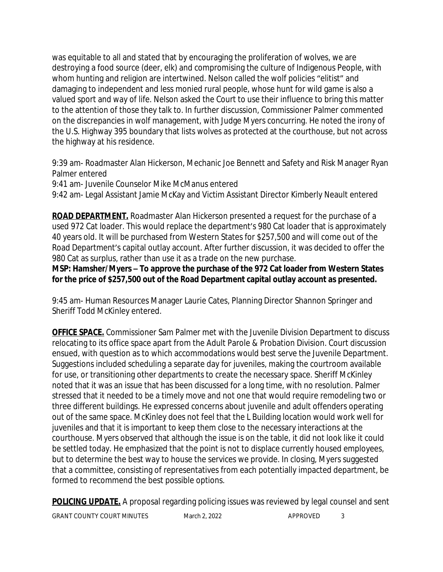was equitable to all and stated that by encouraging the proliferation of wolves, we are destroying a food source (deer, elk) and compromising the culture of Indigenous People, with whom hunting and religion are intertwined. Nelson called the wolf policies "elitist" and damaging to independent and less monied rural people, whose hunt for wild game is also a valued sport and way of life. Nelson asked the Court to use their influence to bring this matter to the attention of those they talk to. In further discussion, Commissioner Palmer commented on the discrepancies in wolf management, with Judge Myers concurring. He noted the irony of the U.S. Highway 395 boundary that lists wolves as protected at the courthouse, but not across the highway at his residence.

9:39 am- Roadmaster Alan Hickerson, Mechanic Joe Bennett and Safety and Risk Manager Ryan Palmer entered

9:41 am- Juvenile Counselor Mike McManus entered

9:42 am- Legal Assistant Jamie McKay and Victim Assistant Director Kimberly Neault entered

**ROAD DEPARTMENT.** Roadmaster Alan Hickerson presented a request for the purchase of a used 972 Cat loader. This would replace the department's 980 Cat loader that is approximately 40 years old. It will be purchased from Western States for \$257,500 and will come out of the Road Department's capital outlay account. After further discussion, it was decided to offer the 980 Cat as surplus, rather than use it as a trade on the new purchase.

**MSP: Hamsher/Myers – To approve the purchase of the 972 Cat loader from Western States for the price of \$257,500 out of the Road Department capital outlay account as presented.**

9:45 am- Human Resources Manager Laurie Cates, Planning Director Shannon Springer and Sheriff Todd McKinley entered.

**OFFICE SPACE.** Commissioner Sam Palmer met with the Juvenile Division Department to discuss relocating to its office space apart from the Adult Parole & Probation Division. Court discussion ensued, with question as to which accommodations would best serve the Juvenile Department. Suggestions included scheduling a separate day for juveniles, making the courtroom available for use, or transitioning other departments to create the necessary space. Sheriff McKinley noted that it was an issue that has been discussed for a long time, with no resolution. Palmer stressed that it needed to be a timely move and not one that would require remodeling two or three different buildings. He expressed concerns about juvenile and adult offenders operating out of the same space. McKinley does not feel that the L Building location would work well for juveniles and that it is important to keep them close to the necessary interactions at the courthouse. Myers observed that although the issue is on the table, it did not look like it could be settled today. He emphasized that the point is not to displace currently housed employees, but to determine the best way to house the services we provide. In closing, Myers suggested that a committee, consisting of representatives from each potentially impacted department, be formed to recommend the best possible options.

**POLICING UPDATE.** A proposal regarding policing issues was reviewed by legal counsel and sent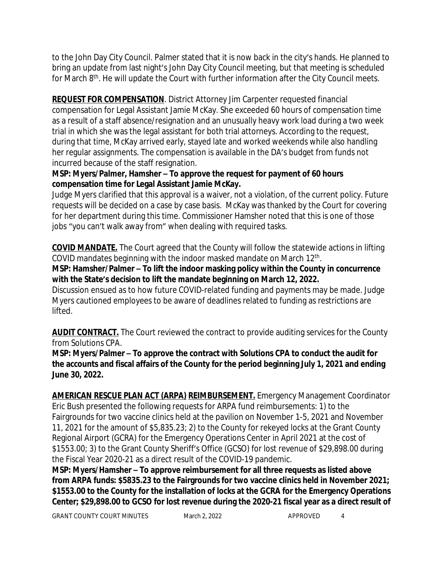to the John Day City Council. Palmer stated that it is now back in the city's hands. He planned to bring an update from last night's John Day City Council meeting, but that meeting is scheduled for March 8<sup>th</sup>. He will update the Court with further information after the City Council meets.

**REQUEST FOR COMPENSATION**. District Attorney Jim Carpenter requested financial compensation for Legal Assistant Jamie McKay. She exceeded 60 hours of compensation time as a result of a staff absence/resignation and an unusually heavy work load during a two week trial in which she was the legal assistant for both trial attorneys. According to the request, during that time, McKay arrived early, stayed late and worked weekends while also handling her regular assignments. The compensation is available in the DA's budget from funds not incurred because of the staff resignation.

# **MSP: Myers/Palmer, Hamsher – To approve the request for payment of 60 hours compensation time for Legal Assistant Jamie McKay.**

Judge Myers clarified that this approval is a waiver, not a violation, of the current policy. Future requests will be decided on a case by case basis. McKay was thanked by the Court for covering for her department during this time. Commissioner Hamsher noted that this is one of those jobs "you can't walk away from" when dealing with required tasks.

**COVID MANDATE.** The Court agreed that the County will follow the statewide actions in lifting COVID mandates beginning with the indoor masked mandate on March 12<sup>th</sup>.

**MSP: Hamsher/Palmer – To lift the indoor masking policy within the County in concurrence with the State's decision to lift the mandate beginning on March 12, 2022.**

Discussion ensued as to how future COVID-related funding and payments may be made. Judge Myers cautioned employees to be aware of deadlines related to funding as restrictions are lifted.

**AUDIT CONTRACT.** The Court reviewed the contract to provide auditing services for the County from Solutions CPA.

**MSP: Myers/Palmer – To approve the contract with Solutions CPA to conduct the audit for the accounts and fiscal affairs of the County for the period beginning July 1, 2021 and ending June 30, 2022.**

**AMERICAN RESCUE PLAN ACT (ARPA) REIMBURSEMENT.** Emergency Management Coordinator Eric Bush presented the following requests for ARPA fund reimbursements: 1) to the Fairgrounds for two vaccine clinics held at the pavilion on November 1-5, 2021 and November 11, 2021 for the amount of \$5,835.23; 2) to the County for rekeyed locks at the Grant County Regional Airport (GCRA) for the Emergency Operations Center in April 2021 at the cost of \$1553.00; 3) to the Grant County Sheriff's Office (GCSO) for lost revenue of \$29,898.00 during the Fiscal Year 2020-21 as a direct result of the COVID-19 pandemic.

**MSP: Myers/Hamsher – To approve reimbursement for all three requests as listed above from ARPA funds: \$5835.23 to the Fairgrounds for two vaccine clinics held in November 2021; \$1553.00 to the County for the installation of locks at the GCRA for the Emergency Operations Center; \$29,898.00 to GCSO for lost revenue during the 2020-21 fiscal year as a direct result of**